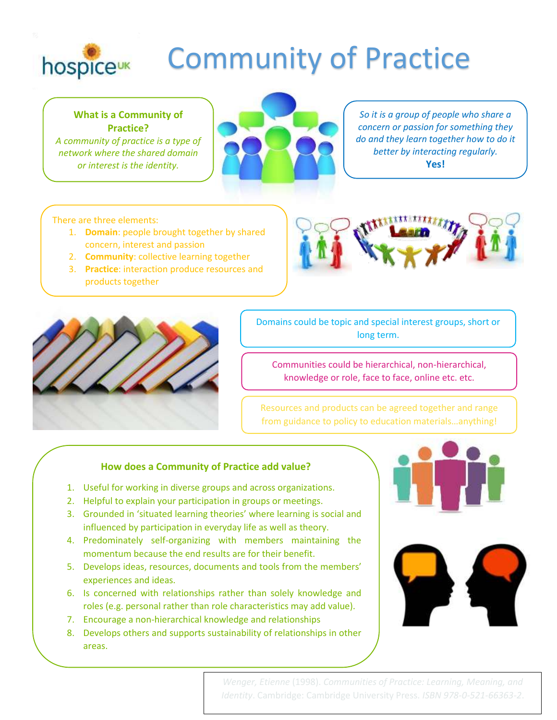

## Community of Practice

**What is a Community of Practice?**

*A community of practice is a type of network where the shared domain or interest is the identity.*



*So it is a group of people who share a concern or passion for something they do and they learn together how to do it better by interacting regularly.* **Yes!**

## There are three elements:

- 1. **Domain**: people brought together by shared concern, interest and passion
- 2. **Community**: collective learning together
- 3. **Practice**: interaction produce resources and products together





Domains could be topic and special interest groups, short or long term.

Communities could be hierarchical, non-hierarchical, knowledge or role, face to face, online etc. etc.

Resources and products can be agreed together and range from guidance to policy to education materials…anything!

## **How does a Community of Practice add value?**

- 1. Useful for working in diverse groups and across organizations.
- 2. Helpful to explain your participation in groups or meetings.
- 3. Grounded in 'situated learning theories' where learning is social and influenced by participation in everyday life as well as theory.
- 4. Predominately self-organizing with members maintaining the momentum because the end results are for their benefit.
- 5. Develops ideas, resources, documents and tools from the members' experiences and ideas.
- 6. Is concerned with relationships rather than solely knowledge and roles (e.g. personal rather than role characteristics may add value).
- 7. Encourage a non-hierarchical knowledge and relationships
- 8. Develops others and supports sustainability of relationships in other areas.





*[Wenger, Etienne](https://en.wikipedia.org/wiki/Etienne_Wenger)* (1998). *[Communities of Practice: Learning, Meaning, and](http://books.google.com/?id=heBZpgYUKdAC&dq=Communities+of+Practice:+Learning,+Meaning,+and+Identity&printsec=frontcover&q=)  [Identity](http://books.google.com/?id=heBZpgYUKdAC&dq=Communities+of+Practice:+Learning,+Meaning,+and+Identity&printsec=frontcover&q=)*. Cambridge: Cambridge University Press. *[ISBN](https://en.wikipedia.org/wiki/International_Standard_Book_Number) [978-0-521-66363-2](https://en.wikipedia.org/wiki/Special:BookSources/978-0-521-66363-2)*.